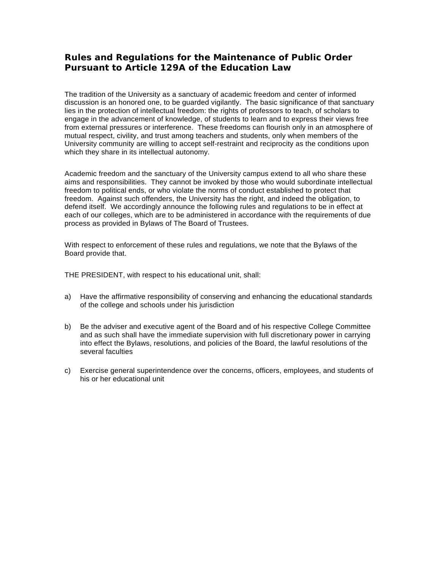## **Rules and Regulations for the Maintenance of Public Order Pursuant to Article 129A of the Education Law**

The tradition of the University as a sanctuary of academic freedom and center of informed discussion is an honored one, to be guarded vigilantly. The basic significance of that sanctuary lies in the protection of intellectual freedom: the rights of professors to teach, of scholars to engage in the advancement of knowledge, of students to learn and to express their views free from external pressures or interference. These freedoms can flourish only in an atmosphere of mutual respect, civility, and trust among teachers and students, only when members of the University community are willing to accept self-restraint and reciprocity as the conditions upon which they share in its intellectual autonomy.

Academic freedom and the sanctuary of the University campus extend to all who share these aims and responsibilities. They cannot be invoked by those who would subordinate intellectual freedom to political ends, or who violate the norms of conduct established to protect that freedom. Against such offenders, the University has the right, and indeed the obligation, to defend itself. We accordingly announce the following rules and regulations to be in effect at each of our colleges, which are to be administered in accordance with the requirements of due process as provided in Bylaws of The Board of Trustees.

With respect to enforcement of these rules and regulations, we note that the Bylaws of the Board provide that.

THE PRESIDENT, with respect to his educational unit, shall:

- a) Have the affirmative responsibility of conserving and enhancing the educational standards of the college and schools under his jurisdiction
- b) Be the adviser and executive agent of the Board and of his respective College Committee and as such shall have the immediate supervision with full discretionary power in carrying into effect the Bylaws, resolutions, and policies of the Board, the lawful resolutions of the several faculties
- c) Exercise general superintendence over the concerns, officers, employees, and students of his or her educational unit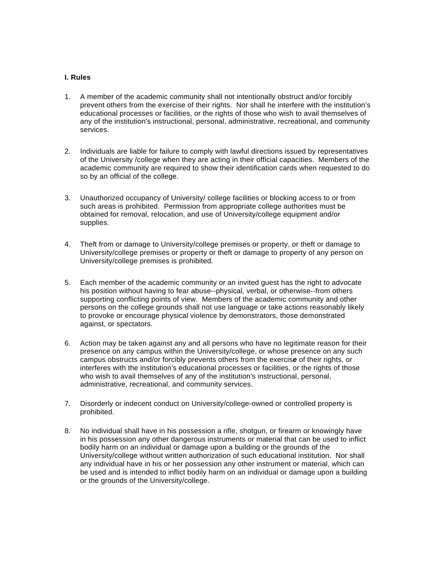## **I. Rules**

- 1. A member of the academic community shall not intentionally obstruct and/or forcibly prevent others from the exercise of their rights. Nor shall he interfere with the institution's educational processes or facilities, or the rights of those who wish to avail themselves of any of the institution's instructional, personal, administrative, recreational, and community services.
- 2. Individuals are liable for failure to comply with lawful directions issued by representatives of the University /college when they are acting in their official capacities. Members of the academic community are required to show their identification cards when requested to do so by an official of the college.
- 3. Unauthorized occupancy of University/ college facilities or blocking access to or from such areas is prohibited. Permission from appropriate college authorities must be obtained for removal, relocation, and use of University/college equipment and/or supplies.
- 4. Theft from or damage to University/college premises or property, or theft or damage to University/college premises or property or theft or damage to property of any person on University/college premises is prohibited.
- 5. Each member of the academic community or an invited guest has the right to advocate his position without having to fear abuse--physical, verbal, or otherwise--from others supporting conflicting points of view. Members of the academic community and other persons on the college grounds shall not use language or take actions reasonably likely to provoke or encourage physical violence by demonstrators, those demonstrated against, or spectators.
- 6. Action may be taken against any and all persons who have no legitimate reason for their presence on any campus within the University/college, or whose presence on any such campus obstructs and/or forcibly prevents others from the exercis*e* of their rights, or interferes with the institution's educational processes or facilities, or the rights of those who wish to avail themselves of any of the institution's instructional, personal, administrative, recreational, and community services.
- 7. Disorderly or indecent conduct on University/college-owned or controlled property is prohibited.
- 8. No individual shall have in his possession a rifle, shotgun, or firearm or knowingly have in his possession any other dangerous instruments or material that can be used to inflict bodily harm on an individual or damage upon a building or the grounds of the University/college without written authorization of such educational institution. Nor shall any individual have in his or her possession any other instrument or material, which can be used and is intended to inflict bodily harm on an individual or damage upon a building or the grounds of the University/college.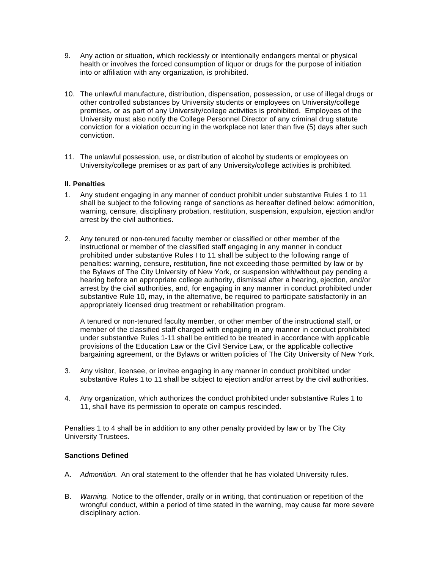- 9. Any action or situation, which recklessly or intentionally endangers mental or physical health or involves the forced consumption of liquor or drugs for the purpose of initiation into or affiliation with any organization, is prohibited.
- 10. The unlawful manufacture, distribution, dispensation, possession, or use of illegal drugs or other controlled substances by University students or employees on University/college premises, or as part of any University/college activities is prohibited. Employees of the University must also notify the College Personnel Director of any criminal drug statute conviction for a violation occurring in the workplace not later than five (5) days after such conviction.
- 11. The unlawful possession, use, or distribution of alcohol by students or employees on University/college premises or as part of any University/college activities is prohibited.

## **II. Penalties**

- 1. Any student engaging in any manner of conduct prohibit under substantive Rules 1 to 11 shall be subject to the following range of sanctions as hereafter defined below: admonition, warning, censure, disciplinary probation, restitution, suspension, expulsion, ejection and/or arrest by the civil authorities.
- 2. Any tenured or non-tenured faculty member or classified or other member of the instructional or member of the classified staff engaging in any manner in conduct prohibited under substantive Rules I to 11 shall be subject to the following range of penalties: warning, censure, restitution, fine not exceeding those permitted by law or by the Bylaws of The City University of New York, or suspension with/without pay pending a hearing before an appropriate college authority, dismissal after a hearing, ejection, and/or arrest by the civil authorities, and, for engaging in any manner in conduct prohibited under substantive Rule 10, may, in the alternative, be required to participate satisfactorily in an appropriately licensed drug treatment or rehabilitation program.

A tenured or non-tenured faculty member, or other member of the instructional staff, or member of the classified staff charged with engaging in any manner in conduct prohibited under substantive Rules 1-11 shall be entitled to be treated in accordance with applicable provisions of the Education Law or the Civil Service Law, or the applicable collective bargaining agreement, or the Bylaws or written policies of The City University of New York.

- 3. Any visitor, licensee, or invitee engaging in any manner in conduct prohibited under substantive Rules 1 to 11 shall be subject to ejection and/or arrest by the civil authorities.
- 4. Any organization, which authorizes the conduct prohibited under substantive Rules 1 to 11, shall have its permission to operate on campus rescinded.

Penalties 1 to 4 shall be in addition to any other penalty provided by law or by The City University Trustees.

## **Sanctions Defined**

- A. *Admonition.* An oral statement to the offender that he has violated University rules.
- B. *Warning.* Notice to the offender, orally or in writing, that continuation or repetition of the wrongful conduct, within a period of time stated in the warning, may cause far more severe disciplinary action.